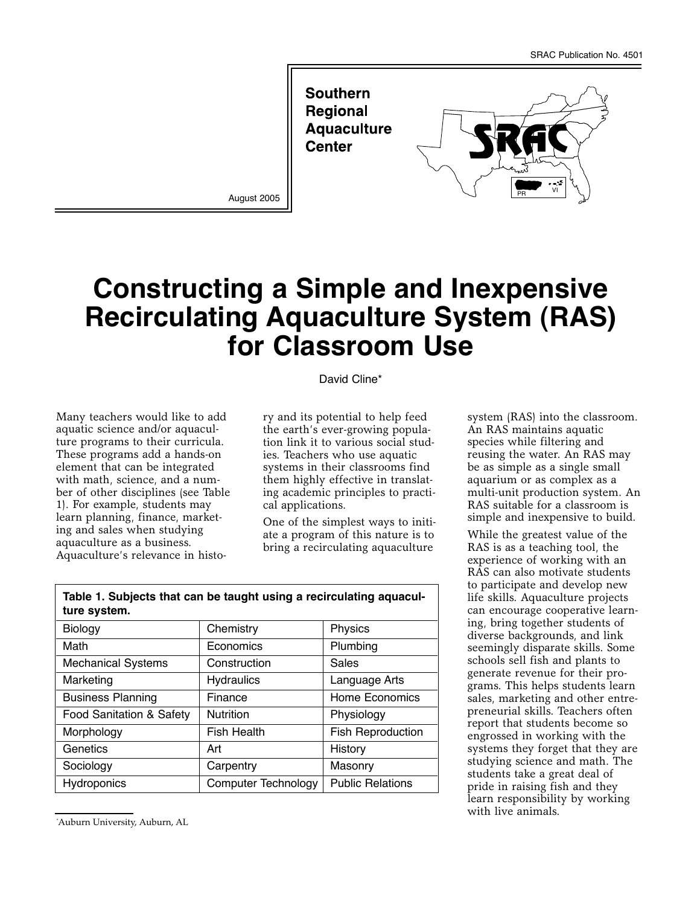**Southern Regional Aquaculture Center** 



# **Constructing a Simple and Inexpensive Recirculating Aquaculture System (RAS) for Classroom Use**

#### David Cline\*

Many teachers would like to add aquatic science and/or aquaculture programs to their curricula. These programs add a hands-on element that can be integrated with math, science, and a number of other disciplines (see Table 1). For example, students may learn planning, finance, marketing and sales when studying aquaculture as a business. Aquaculture's relevance in histo-

ry and its potential to help feed the earth's ever-growing population link it to various social studies. Teachers who use aquatic systems in their classrooms find them highly effective in translating academic principles to practical applications.

One of the simplest ways to initiate a program of this nature is to bring a recirculating aquaculture

| Chemistry                  | Physics                  |
|----------------------------|--------------------------|
| Economics                  | Plumbing                 |
| Construction               | Sales                    |
| <b>Hydraulics</b>          | Language Arts            |
| Finance                    | <b>Home Economics</b>    |
| <b>Nutrition</b>           | Physiology               |
| <b>Fish Health</b>         | <b>Fish Reproduction</b> |
| Art                        | History                  |
| Carpentry                  | Masonry                  |
| <b>Computer Technology</b> | <b>Public Relations</b>  |
|                            |                          |

#### **Table 1. Subjects that can be taught using a recirculating aquaculture system.**

system (RAS) into the classroom. An RAS maintains aquatic species while filtering and reusing the water. An RAS may be as simple as a single small aquarium or as complex as a multi-unit production system. An RAS suitable for a classroom is simple and inexpensive to build.

While the greatest value of the RAS is as a teaching tool, the experience of working with an RAS can also motivate students to participate and develop new life skills. Aquaculture projects can encourage cooperative learning, bring together students of diverse backgrounds, and link seemingly disparate skills. Some schools sell fish and plants to generate revenue for their programs. This helps students learn sales, marketing and other entrepreneurial skills. Teachers often report that students become so engrossed in working with the systems they forget that they are studying science and math. The students take a great deal of pride in raising fish and they learn responsibility by working with live animals.

<sup>\*</sup> Auburn University, Auburn, AL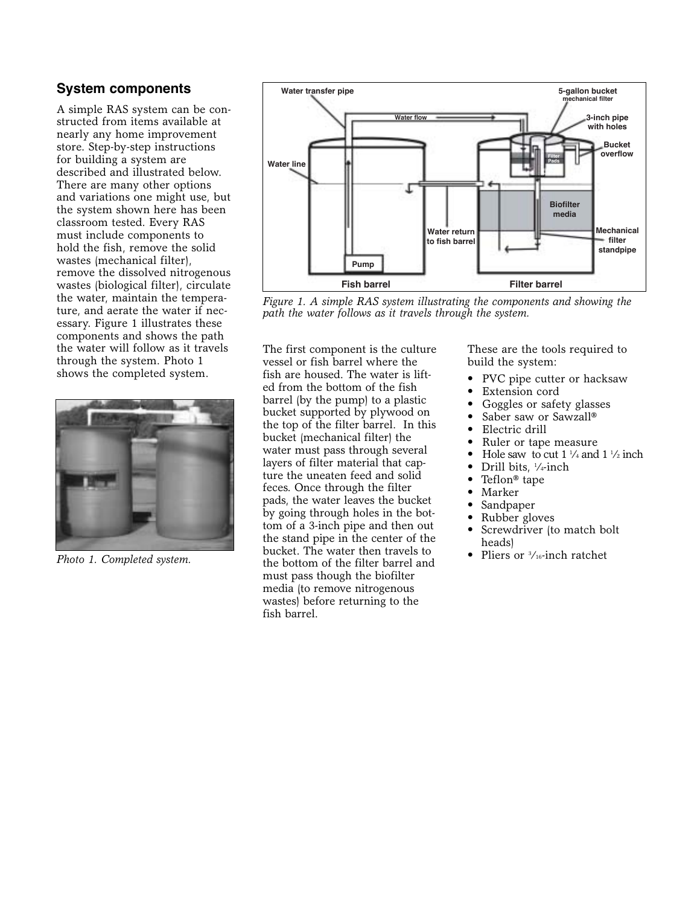## **System components**

A simple RAS system can be constructed from items available at nearly any home improvement store. Step-by-step instructions for building a system are described and illustrated below. There are many other options and variations one might use, but the system shown here has been classroom tested. Every RAS must include components to hold the fish, remove the solid wastes (mechanical filter), remove the dissolved nitrogenous wastes (biological filter), circulate the water, maintain the temperature, and aerate the water if necessary. Figure 1 illustrates these components and shows the path the water will follow as it travels through the system. Photo 1 shows the completed system.



*Photo 1. Completed system.*



*Figure 1. A simple RAS system illustrating the components and showing the path the water follows as it travels through the system.*

The first component is the culture vessel or fish barrel where the fish are housed. The water is lifted from the bottom of the fish barrel (by the pump) to a plastic bucket supported by plywood on the top of the filter barrel. In this bucket (mechanical filter) the water must pass through several layers of filter material that capture the uneaten feed and solid feces. Once through the filter pads, the water leaves the bucket by going through holes in the bottom of a 3-inch pipe and then out the stand pipe in the center of the bucket. The water then travels to the bottom of the filter barrel and must pass though the biofilter media (to remove nitrogenous wastes) before returning to the fish barrel.

These are the tools required to build the system:

- PVC pipe cutter or hacksaw
- Extension cord
- Goggles or safety glasses
- Saber saw or Sawzall®
- Electric drill
- Ruler or tape measure
- Hole saw to cut  $1\frac{1}{4}$  and  $1\frac{1}{2}$  inch
- Drill bits, <sup>1</sup>/<sub>4</sub>-inch
- Teflon® tape
- Marker
- Sandpaper
- Rubber gloves
- Screwdriver (to match bolt heads)
- Pliers or <sup>3</sup>/<sub>16</sub>-inch ratchet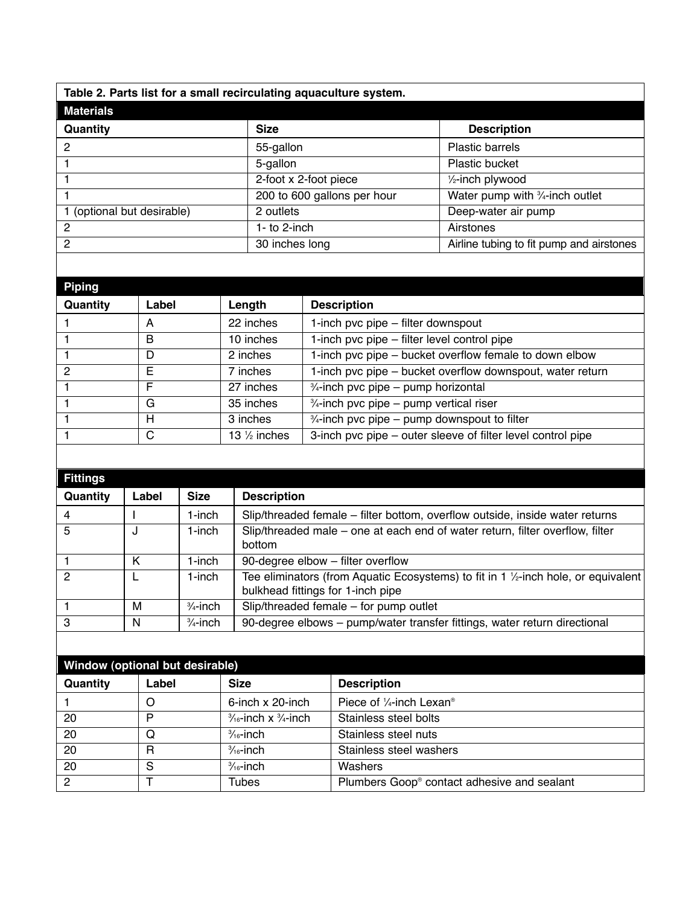**Table 2. Parts list for a small recirculating aquaculture system.**

| <b>Materials</b>           |                             |                                          |
|----------------------------|-----------------------------|------------------------------------------|
| Quantity                   | <b>Size</b>                 | <b>Description</b>                       |
| 2                          | 55-gallon                   | Plastic barrels                          |
|                            | 5-gallon                    | Plastic bucket                           |
|                            | 2-foot x 2-foot piece       | 1/ <sub>2</sub> -inch plywood            |
|                            | 200 to 600 gallons per hour | Water pump with 3/4-inch outlet          |
| 1 (optional but desirable) | 2 outlets                   | Deep-water air pump                      |
| 2                          | 1- to $2$ -inch             | Airstones                                |
| $\mathcal{P}$              | 30 inches long              | Airline tubing to fit pump and airstones |

| Piping        |       |                         |                                                             |
|---------------|-------|-------------------------|-------------------------------------------------------------|
| Quantity      | Label | Length                  | <b>Description</b>                                          |
|               | А     | 22 inches               | 1-inch pvc pipe - filter downspout                          |
|               | в     | 10 inches               | 1-inch pvc pipe – filter level control pipe                 |
|               | D     | 2 inches                | 1-inch pvc pipe - bucket overflow female to down elbow      |
| $\mathcal{P}$ | E     | 7 inches                | 1-inch pvc pipe - bucket overflow downspout, water return   |
|               | E     | 27 inches               | $\frac{3}{4}$ -inch pvc pipe – pump horizontal              |
|               | G     | 35 inches               | $\frac{3}{4}$ -inch pvc pipe – pump vertical riser          |
|               | н     | 3 inches                | $\frac{3}{4}$ -inch pvc pipe – pump downspout to filter     |
|               | C     | 13 $\frac{1}{2}$ inches | 3-inch pvc pipe – outer sleeve of filter level control pipe |

| <b>Fittings</b> |       |                     |                                                                                                                                      |
|-----------------|-------|---------------------|--------------------------------------------------------------------------------------------------------------------------------------|
| Quantity        | Label | <b>Size</b>         | <b>Description</b>                                                                                                                   |
| 4               |       | 1-inch              | Slip/threaded female – filter bottom, overflow outside, inside water returns                                                         |
| 5               | J     | 1-inch              | Slip/threaded male – one at each end of water return, filter overflow, filter<br>bottom                                              |
|                 | Κ     | 1-inch              | 90-degree elbow - filter overflow                                                                                                    |
| $\mathcal{P}$   |       | $1$ -inch           | Tee eliminators (from Aquatic Ecosystems) to fit in 1 1/ <sub>2</sub> -inch hole, or equivalent<br>bulkhead fittings for 1-inch pipe |
|                 | м     | $\frac{3}{4}$ -inch | Slip/threaded female - for pump outlet                                                                                               |
| З               | N     | $\frac{3}{4}$ -inch | 90-degree elbows - pump/water transfer fittings, water return directional                                                            |

| Window (optional but desirable) |       |                                            |                                                 |  |
|---------------------------------|-------|--------------------------------------------|-------------------------------------------------|--|
| Quantity                        | Label | <b>Size</b>                                | <b>Description</b>                              |  |
|                                 | O     | $6$ -inch x 20-inch                        | Piece of $\frac{1}{4}$ -inch Lexan <sup>®</sup> |  |
| 20                              | P     | $\frac{3}{16}$ -inch x $\frac{3}{4}$ -inch | Stainless steel bolts                           |  |
| 20                              | Q     | $\frac{3}{16}$ -inch                       | Stainless steel nuts                            |  |
| 20                              | R     | $\frac{3}{16}$ -inch                       | Stainless steel washers                         |  |
| 20                              | S     | $\frac{3}{16}$ -inch                       | Washers                                         |  |
| $\overline{2}$                  |       | <b>Tubes</b>                               | Plumbers Goop® contact adhesive and sealant     |  |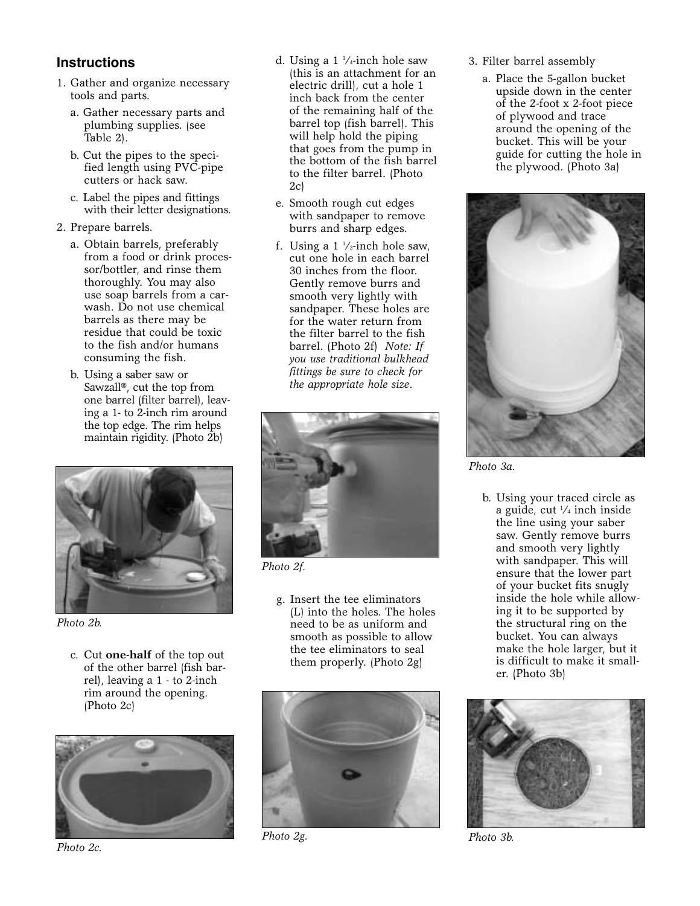## **Instructions**

- 1. Gather and organize necessary tools and parts.
	- a. Gather necessary parts and plumbing supplies. (see Table 2).
	- b. Cut the pipes to the specified length using PVC-pipe cutters or hack saw.
	- c. Label the pipes and fittings with their letter designations.
- 2. Prepare barrels.
	- a. Obtain barrels, preferably from a food or drink processor/bottler, and rinse them thoroughly. You may also use soap barrels from a carwash. Do not use chemical barrels as there may be residue that could be toxic to the fish and/or humans consuming the fish.
	- b. Using a saber saw or Sawzall®, cut the top from one barrel (filter barrel), leaving a 1- to 2-inch rim around the top edge. The rim helps maintain rigidity. (Photo 2b)



*Photo 2b.* 

c. Cut **one-half** of the top out of the other barrel (fish barrel), leaving a 1 - to 2-inch rim around the opening. (Photo 2c)



*Photo 2c.* 

- d. Using a 1 1 ⁄4-inch hole saw (this is an attachment for an electric drill), cut a hole 1 inch back from the center of the remaining half of the barrel top (fish barrel). This will help hold the piping that goes from the pump in the bottom of the fish barrel to the filter barrel. (Photo  $2c$
- e. Smooth rough cut edges with sandpaper to remove burrs and sharp edges.
- f. Using a  $1\frac{1}{2}$ -inch hole saw, cut one hole in each barrel 30 inches from the floor. Gently remove burrs and smooth very lightly with sandpaper. These holes are for the water return from the filter barrel to the fish barrel. (Photo 2f) *Note: If you use traditional bulkhead fittings be sure to check for the appropriate hole size*.



*Photo 2f.* 

g. Insert the tee eliminators (L) into the holes. The holes need to be as uniform and smooth as possible to allow the tee eliminators to seal them properly. (Photo 2g)



*Photo 2g.* 

- 3. Filter barrel assembly
	- a. Place the 5-gallon bucket upside down in the center of the 2-foot x 2-foot piece of plywood and trace around the opening of the bucket. This will be your guide for cutting the hole in the plywood. (Photo 3a)



*Photo 3a.* 

b. Using your traced circle as a guide, cut 1 ⁄4 inch inside the line using your saber saw. Gently remove burrs and smooth very lightly with sandpaper. This will ensure that the lower part of your bucket fits snugly inside the hole while allowing it to be supported by the structural ring on the bucket. You can always make the hole larger, but it is difficult to make it smaller. (Photo 3b)



*Photo 3b.*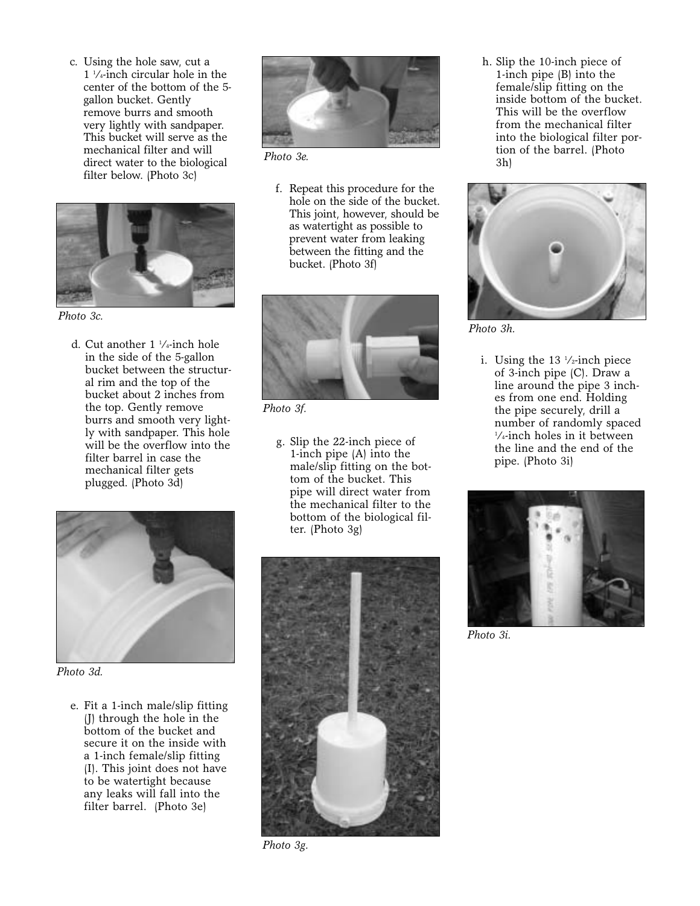c. Using the hole saw, cut a 1 1 ⁄4-inch circular hole in the center of the bottom of the 5 gallon bucket. Gently remove burrs and smooth very lightly with sandpaper. This bucket will serve as the mechanical filter and will direct water to the biological filter below. (Photo 3c)



*Photo 3c.* 

d. Cut another 1 1 ⁄4-inch hole in the side of the 5-gallon bucket between the structural rim and the top of the bucket about 2 inches from the top. Gently remove burrs and smooth very lightly with sandpaper. This hole will be the overflow into the filter barrel in case the mechanical filter gets plugged. (Photo 3d)



*Photo 3d.* 

e. Fit a 1-inch male/slip fitting (J) through the hole in the bottom of the bucket and secure it on the inside with a 1-inch female/slip fitting (I). This joint does not have to be watertight because any leaks will fall into the filter barrel. (Photo 3e)



*Photo 3e.* 

f. Repeat this procedure for the hole on the side of the bucket. This joint, however, should be as watertight as possible to prevent water from leaking between the fitting and the bucket. (Photo 3f)



*Photo 3f.* 

g. Slip the 22-inch piece of 1-inch pipe (A) into the male/slip fitting on the bottom of the bucket. This pipe will direct water from the mechanical filter to the bottom of the biological filter. (Photo 3g)



*Photo 3g.* 

h. Slip the 10-inch piece of 1-inch pipe (B) into the female/slip fitting on the inside bottom of the bucket. This will be the overflow from the mechanical filter into the biological filter portion of the barrel. (Photo 3h)



*Photo 3h.* 

i. Using the 13 1 ⁄2-inch piece of 3-inch pipe (C). Draw a line around the pipe 3 inches from one end. Holding the pipe securely, drill a number of randomly spaced 1 ⁄4-inch holes in it between the line and the end of the pipe. (Photo 3i)



*Photo 3i.*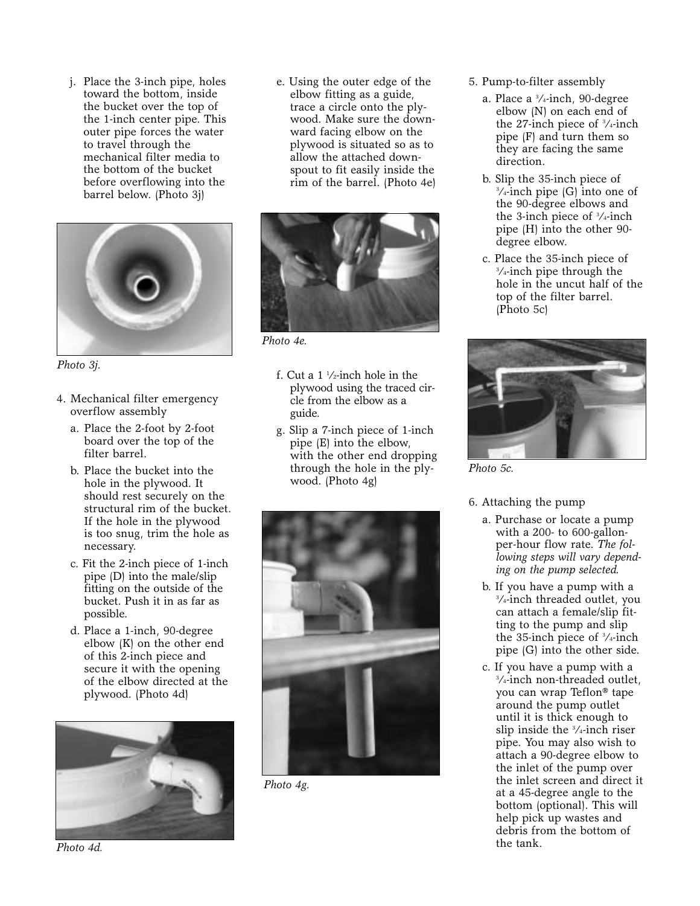j. Place the 3-inch pipe, holes toward the bottom, inside the bucket over the top of the 1-inch center pipe. This outer pipe forces the water to travel through the mechanical filter media to the bottom of the bucket before overflowing into the barrel below. (Photo 3j)



*Photo 3j.* 

- 4. Mechanical filter emergency overflow assembly
	- a. Place the 2-foot by 2-foot board over the top of the filter barrel.
	- b. Place the bucket into the hole in the plywood. It should rest securely on the structural rim of the bucket. If the hole in the plywood is too snug, trim the hole as necessary.
	- c. Fit the 2-inch piece of 1-inch pipe (D) into the male/slip fitting on the outside of the bucket. Push it in as far as possible.
	- d. Place a 1-inch, 90-degree elbow (K) on the other end of this 2-inch piece and secure it with the opening of the elbow directed at the plywood. (Photo 4d)



e. Using the outer edge of the elbow fitting as a guide, trace a circle onto the plywood. Make sure the downward facing elbow on the plywood is situated so as to allow the attached downspout to fit easily inside the rim of the barrel. (Photo 4e)



*Photo 4e.* 

- f. Cut a 1 1 ⁄2-inch hole in the plywood using the traced circle from the elbow as a guide.
- g. Slip a 7-inch piece of 1-inch pipe (E) into the elbow, with the other end dropping through the hole in the plywood. (Photo 4g)



*Photo 4g.* 

- 5. Pump-to-filter assembly
	- a. Place a 3 ⁄4-inch, 90-degree elbow (N) on each end of the 27-inch piece of 3 ⁄4-inch pipe (F) and turn them so they are facing the same direction.
	- b. Slip the 35-inch piece of 3 ⁄4-inch pipe (G) into one of the 90-degree elbows and the 3-inch piece of 3 ⁄4-inch pipe (H) into the other 90 degree elbow.
	- c. Place the 35-inch piece of 3 ⁄4-inch pipe through the hole in the uncut half of the top of the filter barrel. (Photo 5c)



*Photo 5c.* 

#### 6. Attaching the pump

- a. Purchase or locate a pump with a 200- to 600-gallonper-hour flow rate. *The following steps will vary depending on the pump selected.*
- b. If you have a pump with a 3 ⁄4-inch threaded outlet, you can attach a female/slip fitting to the pump and slip the 35-inch piece of 3 ⁄4-inch pipe (G) into the other side.
- c. If you have a pump with a 3 ⁄4-inch non-threaded outlet, you can wrap Teflon® tape around the pump outlet until it is thick enough to slip inside the 3 ⁄4-inch riser pipe. You may also wish to attach a 90-degree elbow to the inlet of the pump over the inlet screen and direct it at a 45-degree angle to the bottom (optional). This will help pick up wastes and debris from the bottom of the tank.

*Photo 4d.*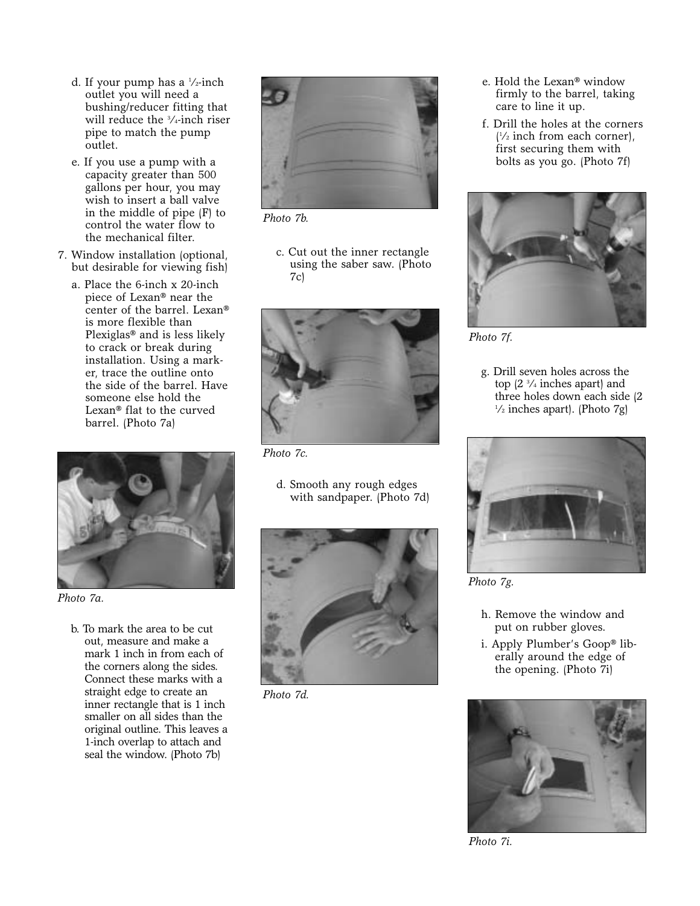- d. If your pump has a 1 ⁄2-inch outlet you will need a bushing/reducer fitting that will reduce the 3 ⁄4-inch riser pipe to match the pump outlet.
- e. If you use a pump with a capacity greater than 500 gallons per hour, you may wish to insert a ball valve in the middle of pipe (F) to control the water flow to the mechanical filter.
- 7. Window installation (optional, but desirable for viewing fish)
	- a. Place the 6-inch x 20-inch piece of Lexan® near the center of the barrel. Lexan® is more flexible than Plexiglas® and is less likely to crack or break during installation. Using a marker, trace the outline onto the side of the barrel. Have someone else hold the Lexan® flat to the curved barrel. (Photo 7a)



*Photo 7a.* 

b. To mark the area to be cut out, measure and make a mark 1 inch in from each of the corners along the sides. Connect these marks with a straight edge to create an inner rectangle that is 1 inch smaller on all sides than the original outline. This leaves a 1-inch overlap to attach and seal the window. (Photo 7b)



*Photo 7b.* 

c. Cut out the inner rectangle using the saber saw. (Photo 7c)



*Photo 7c.* 

d. Smooth any rough edges with sandpaper. (Photo 7d)



*Photo 7d.* 

- e. Hold the Lexan® window firmly to the barrel, taking care to line it up.
- f. Drill the holes at the corners  $\frac{1}{2}$  inch from each corner), first securing them with bolts as you go. (Photo 7f)



*Photo 7f.* 

g. Drill seven holes across the top (2 3 ⁄4 inches apart) and three holes down each side (2  $\frac{1}{2}$  inches apart). (Photo 7g)



*Photo 7g.* 

- h. Remove the window and put on rubber gloves.
- i. Apply Plumber's Goop® liberally around the edge of the opening. (Photo 7i)



*Photo 7i.*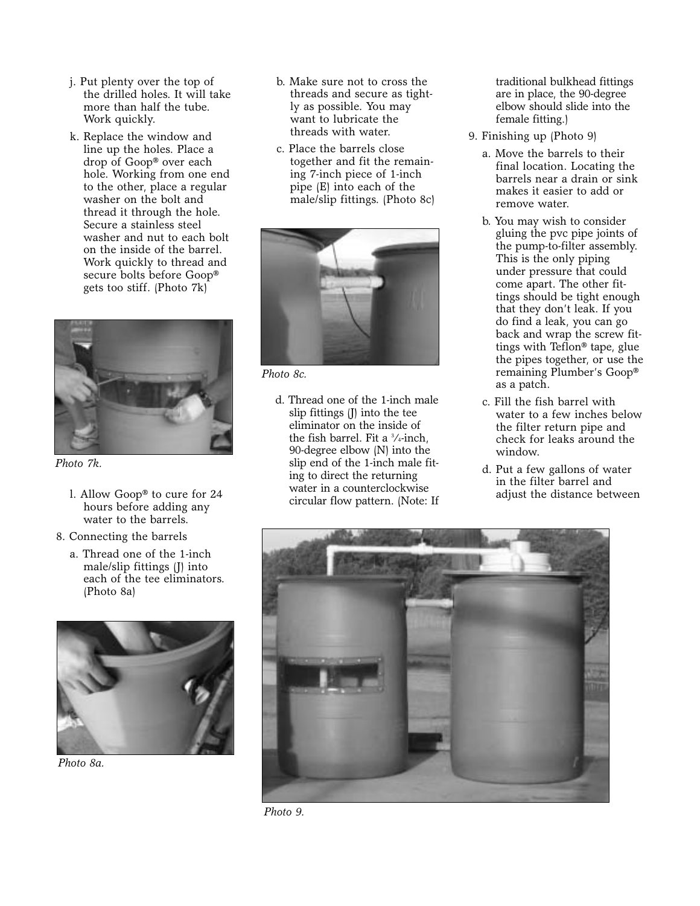- j. Put plenty over the top of the drilled holes. It will take more than half the tube. Work quickly.
- k. Replace the window and line up the holes. Place a drop of Goop® over each hole. Working from one end to the other, place a regular washer on the bolt and thread it through the hole. Secure a stainless steel washer and nut to each bolt on the inside of the barrel. Work quickly to thread and secure bolts before Goop® gets too stiff. (Photo 7k)



*Photo 7k.* 

- l. Allow Goop® to cure for 24 hours before adding any water to the barrels.
- 8. Connecting the barrels
	- a. Thread one of the 1-inch male/slip fittings (J) into each of the tee eliminators. (Photo 8a)



*Photo 8a.* 

- b. Make sure not to cross the threads and secure as tightly as possible. You may want to lubricate the threads with water.
- c. Place the barrels close together and fit the remaining 7-inch piece of 1-inch pipe (E) into each of the male/slip fittings. (Photo 8c)



*Photo 8c.* 

d. Thread one of the 1-inch male slip fittings (J) into the tee eliminator on the inside of the fish barrel. Fit a 3 ⁄4-inch, 90-degree elbow (N) into the slip end of the 1-inch male fiting to direct the returning water in a counterclockwise circular flow pattern. (Note: If

traditional bulkhead fittings are in place, the 90-degree elbow should slide into the female fitting.)

- 9. Finishing up (Photo 9)
	- a. Move the barrels to their final location. Locating the barrels near a drain or sink makes it easier to add or remove water.
	- b. You may wish to consider gluing the pvc pipe joints of the pump-to-filter assembly. This is the only piping under pressure that could come apart. The other fittings should be tight enough that they don't leak. If you do find a leak, you can go back and wrap the screw fittings with Teflon® tape, glue the pipes together, or use the remaining Plumber's Goop® as a patch.
	- c. Fill the fish barrel with water to a few inches below the filter return pipe and check for leaks around the window.
	- d. Put a few gallons of water in the filter barrel and adjust the distance between



*Photo 9.*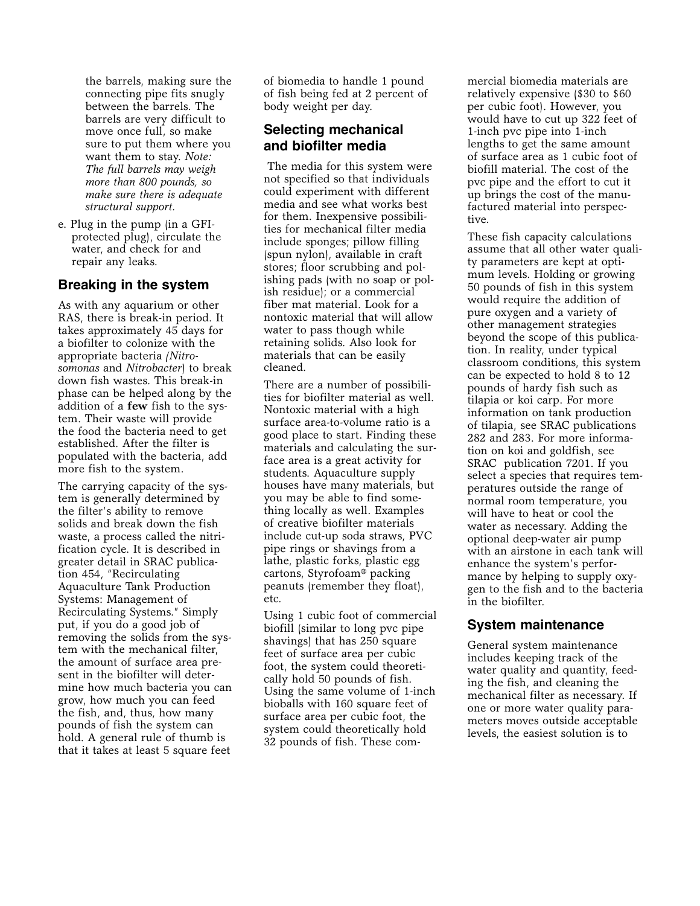the barrels, making sure the connecting pipe fits snugly between the barrels. The barrels are very difficult to move once full, so make sure to put them where you want them to stay. *Note: The full barrels may weigh more than 800 pounds, so make sure there is adequate structural support.*

e. Plug in the pump (in a GFIprotected plug), circulate the water, and check for and repair any leaks.

#### **Breaking in the system**

As with any aquarium or other RAS, there is break-in period. It takes approximately 45 days for a biofilter to colonize with the appropriate bacteria *(Nitrosomonas* and *Nitrobacter*) to break down fish wastes. This break-in phase can be helped along by the addition of a **few** fish to the system. Their waste will provide the food the bacteria need to get established. After the filter is populated with the bacteria, add more fish to the system.

The carrying capacity of the system is generally determined by the filter's ability to remove solids and break down the fish waste, a process called the nitrification cycle. It is described in greater detail in SRAC publication 454, "Recirculating Aquaculture Tank Production Systems: Management of Recirculating Systems." Simply put, if you do a good job of removing the solids from the system with the mechanical filter, the amount of surface area present in the biofilter will determine how much bacteria you can grow, how much you can feed the fish, and, thus, how many pounds of fish the system can hold. A general rule of thumb is that it takes at least 5 square feet

of biomedia to handle 1 pound of fish being fed at 2 percent of body weight per day.

## **Selecting mechanical and biofilter media**

The media for this system were not specified so that individuals could experiment with different media and see what works best for them. Inexpensive possibilities for mechanical filter media include sponges; pillow filling (spun nylon), available in craft stores; floor scrubbing and polishing pads (with no soap or polish residue); or a commercial fiber mat material. Look for a nontoxic material that will allow water to pass though while retaining solids. Also look for materials that can be easily cleaned.

There are a number of possibilities for biofilter material as well. Nontoxic material with a high surface area-to-volume ratio is a good place to start. Finding these materials and calculating the surface area is a great activity for students. Aquaculture supply houses have many materials, but you may be able to find something locally as well. Examples of creative biofilter materials include cut-up soda straws, PVC pipe rings or shavings from a lathe, plastic forks, plastic egg cartons, Styrofoam® packing peanuts (remember they float), etc.

Using 1 cubic foot of commercial biofill (similar to long pvc pipe shavings) that has 250 square feet of surface area per cubic foot, the system could theoretically hold 50 pounds of fish. Using the same volume of 1-inch bioballs with 160 square feet of surface area per cubic foot, the system could theoretically hold 32 pounds of fish. These commercial biomedia materials are relatively expensive (\$30 to \$60 per cubic foot). However, you would have to cut up 322 feet of 1-inch pvc pipe into 1-inch lengths to get the same amount of surface area as 1 cubic foot of biofill material. The cost of the pvc pipe and the effort to cut it up brings the cost of the manufactured material into perspective.

These fish capacity calculations assume that all other water quality parameters are kept at optimum levels. Holding or growing 50 pounds of fish in this system would require the addition of pure oxygen and a variety of other management strategies beyond the scope of this publication. In reality, under typical classroom conditions, this system can be expected to hold 8 to 12 pounds of hardy fish such as tilapia or koi carp. For more information on tank production of tilapia, see SRAC publications 282 and 283. For more information on koi and goldfish, see SRAC publication 7201. If you select a species that requires temperatures outside the range of normal room temperature, you will have to heat or cool the water as necessary. Adding the optional deep-water air pump with an airstone in each tank will enhance the system's performance by helping to supply oxygen to the fish and to the bacteria in the biofilter.

### **System maintenance**

General system maintenance includes keeping track of the water quality and quantity, feeding the fish, and cleaning the mechanical filter as necessary. If one or more water quality parameters moves outside acceptable levels, the easiest solution is to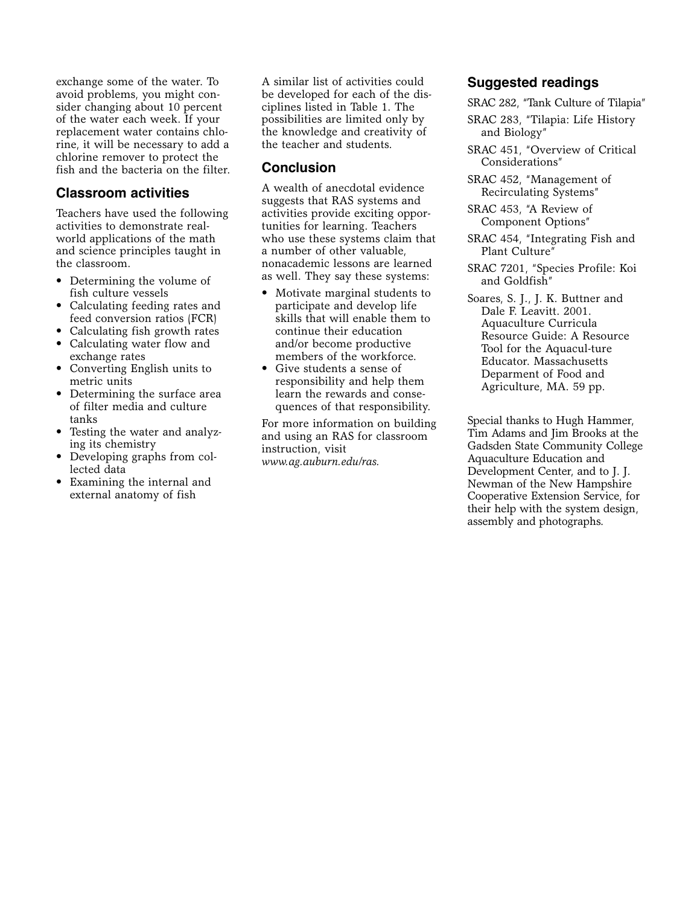exchange some of the water. To avoid problems, you might consider changing about 10 percent of the water each week. If your replacement water contains chlorine, it will be necessary to add a chlorine remover to protect the fish and the bacteria on the filter.

#### **Classroom activities**

Teachers have used the following activities to demonstrate realworld applications of the math and science principles taught in the classroom.

- Determining the volume of fish culture vessels
- Calculating feeding rates and feed conversion ratios (FCR)
- Calculating fish growth rates
- Calculating water flow and exchange rates
- Converting English units to metric units
- Determining the surface area of filter media and culture tanks
- Testing the water and analyzing its chemistry
- Developing graphs from collected data
- Examining the internal and external anatomy of fish

A similar list of activities could be developed for each of the disciplines listed in Table 1. The possibilities are limited only by the knowledge and creativity of the teacher and students.

#### **Conclusion**

A wealth of anecdotal evidence suggests that RAS systems and activities provide exciting opportunities for learning. Teachers who use these systems claim that a number of other valuable, nonacademic lessons are learned as well. They say these systems:

- Motivate marginal students to participate and develop life skills that will enable them to continue their education and/or become productive members of the workforce.
- Give students a sense of responsibility and help them learn the rewards and consequences of that responsibility.

For more information on building and using an RAS for classroom instruction, visit *www.ag.auburn.edu/ras.*

#### **Suggested readings**

SRAC 282, "Tank Culture of Tilapia"

- SRAC 283, "Tilapia: Life History and Biology"
- SRAC 451, "Overview of Critical Considerations"
- SRAC 452, "Management of Recirculating Systems"

SRAC 453, "A Review of Component Options"

- SRAC 454, "Integrating Fish and Plant Culture"
- SRAC 7201, "Species Profile: Koi and Goldfish"
- Soares, S. J., J. K. Buttner and Dale F. Leavitt. 2001. Aquaculture Curricula Resource Guide: A Resource Tool for the Aquacul-ture Educator. Massachusetts Deparment of Food and Agriculture, MA. 59 pp.

Special thanks to Hugh Hammer, Tim Adams and Jim Brooks at the Gadsden State Community College Aquaculture Education and Development Center, and to J. J. Newman of the New Hampshire Cooperative Extension Service, for their help with the system design, assembly and photographs.